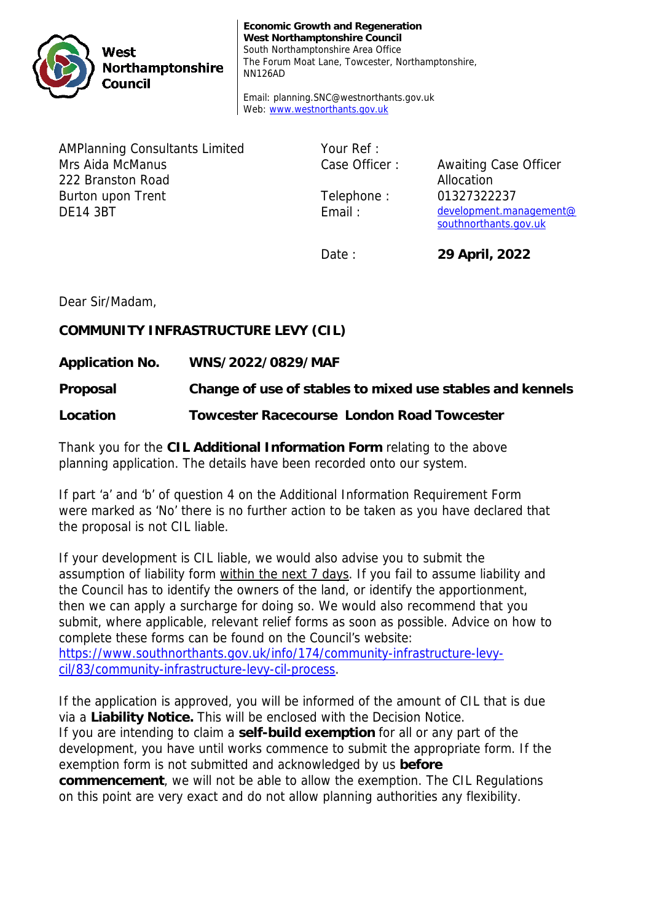

**Economic Growth and Regeneration West Northamptonshire Council** South Northamptonshire Area Office The Forum Moat Lane, Towcester, Northamptonshire, NN126AD

Email: planning.SNC@westnorthants.gov.uk Web: www.westnorthants.gov.uk

AMPlanning Consultants Limited Mrs Aida McManus 222 Branston Road Burton upon Trent DE14 3BT

Your Ref :

Case Officer : Awaiting Case Officer Allocation Telephone : 01327322237 Email : development.management@ southnorthants.gov.uk

Date : **29 April, 2022**

Dear Sir/Madam,

**COMMUNITY INFRASTRUCTURE LEVY (CIL)** 

**Application No. WNS/2022/0829/MAF**

**Proposal Change of use of stables to mixed use stables and kennels**

**Location Towcester Racecourse London Road Towcester**

Thank you for the **CIL Additional Information Form** relating to the above planning application. The details have been recorded onto our system.

If part 'a' and 'b' of question 4 on the Additional Information Requirement Form were marked as 'No' there is no further action to be taken as you have declared that the proposal is not CIL liable.

If your development is CIL liable, we would also advise you to submit the assumption of liability form within the next 7 days. If you fail to assume liability and the Council has to identify the owners of the land, or identify the apportionment, then we can apply a surcharge for doing so. We would also recommend that you submit, where applicable, relevant relief forms as soon as possible. Advice on how to complete these forms can be found on the Council's website: https://www.southnorthants.gov.uk/info/174/community-infrastructure-levycil/83/community-infrastructure-levy-cil-process.

If the application is approved, you will be informed of the amount of CIL that is due via a **Liability Notice.** This will be enclosed with the Decision Notice. If you are intending to claim a **self-build exemption** for all or any part of the development, you have until works commence to submit the appropriate form. If the exemption form is not submitted and acknowledged by us **before commencement**, we will not be able to allow the exemption. The CIL Regulations on this point are very exact and do not allow planning authorities any flexibility.